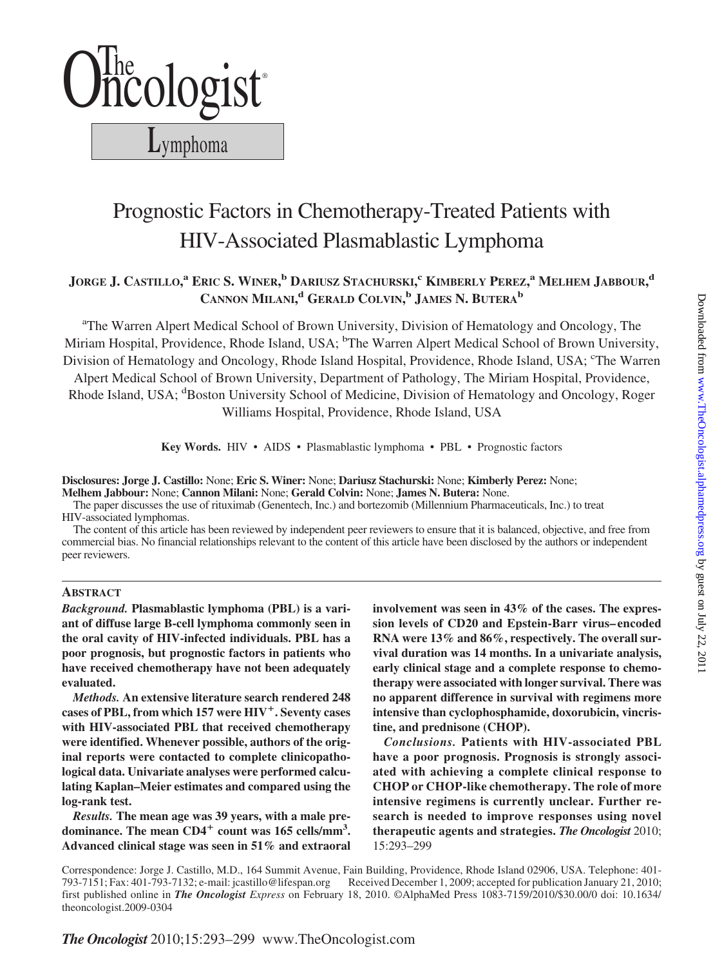

# Prognostic Factors in Chemotherapy-Treated Patients with HIV-Associated Plasmablastic Lymphoma

# **JORGE J. CASTILLO, <sup>a</sup> ERIC S. WINER, <sup>b</sup> DARIUSZ STACHURSKI, <sup>c</sup> KIMBERLY PEREZ, <sup>a</sup> MELHEM JABBOUR, d CANNON MILANI, <sup>d</sup> GERALD COLVIN, <sup>b</sup> JAMES N. BUTERAb**

<sup>a</sup>The Warren Alpert Medical School of Brown University, Division of Hematology and Oncology, The Miriam Hospital, Providence, Rhode Island, USA; <sup>b</sup>The Warren Alpert Medical School of Brown University, Division of Hematology and Oncology, Rhode Island Hospital, Providence, Rhode Island, USA; <sup>c</sup>The Warren

Alpert Medical School of Brown University, Department of Pathology, The Miriam Hospital, Providence, Rhode Island, USA; <sup>d</sup>Boston University School of Medicine, Division of Hematology and Oncology, Roger Williams Hospital, Providence, Rhode Island, USA

**Key Words.** HIV • AIDS • Plasmablastic lymphoma • PBL • Prognostic factors

**Disclosures: Jorge J. Castillo:** None; **Eric S. Winer:** None; **Dariusz Stachurski:** None; **Kimberly Perez:** None; **Melhem Jabbour:** None; **Cannon Milani:** None; **Gerald Colvin:** None; **James N. Butera:** None.

The paper discusses the use of rituximab (Genentech, Inc.) and bortezomib (Millennium Pharmaceuticals, Inc.) to treat HIV-associated lymphomas.

The content of this article has been reviewed by independent peer reviewers to ensure that it is balanced, objective, and free from commercial bias. No financial relationships relevant to the content of this article have been disclosed by the authors or independent peer reviewers.

# **ABSTRACT**

*Background.* **Plasmablastic lymphoma (PBL) is a variant of diffuse large B-cell lymphoma commonly seen in the oral cavity of HIV-infected individuals. PBL has a poor prognosis, but prognostic factors in patients who have received chemotherapy have not been adequately evaluated.**

*Methods.* **An extensive literature search rendered 248 cases of PBL, from which 157 were HIV. Seventy cases with HIV-associated PBL that received chemotherapy were identified. Whenever possible, authors of the original reports were contacted to complete clinicopathological data. Univariate analyses were performed calculating Kaplan–Meier estimates and compared using the log-rank test.**

*Results.* **The mean age was 39 years, with a male predominance. The mean CD4 count was 165 cells/mm3 . Advanced clinical stage was seen in 51% and extraoral** **involvement was seen in 43% of the cases. The expression levels of CD20 and Epstein-Barr virus– encoded RNA were 13% and 86%, respectively. The overall survival duration was 14 months. In a univariate analysis, early clinical stage and a complete response to chemotherapy were associated with longer survival. There was no apparent difference in survival with regimens more intensive than cyclophosphamide, doxorubicin, vincristine, and prednisone (CHOP).**

*Conclusions.* **Patients with HIV-associated PBL have a poor prognosis. Prognosis is strongly associated with achieving a complete clinical response to CHOP or CHOP-like chemotherapy. The role of more intensive regimens is currently unclear. Further research is needed to improve responses using novel therapeutic agents and strategies.** *The Oncologist* 2010; 15:293–299

Correspondence: Jorge J. Castillo, M.D., 164 Summit Avenue, Fain Building, Providence, Rhode Island 02906, USA. Telephone: 401- 793-7151; Fax: 401-793-7132; e-mail: jcastillo@lifespan.org Received December 1, 2009; accepted for publication January 21, 2010; first published online in *The Oncologist Express* on February 18, 2010. ©AlphaMed Press 1083-7159/2010/\$30.00/0 doi: 10.1634/ theoncologist.2009-0304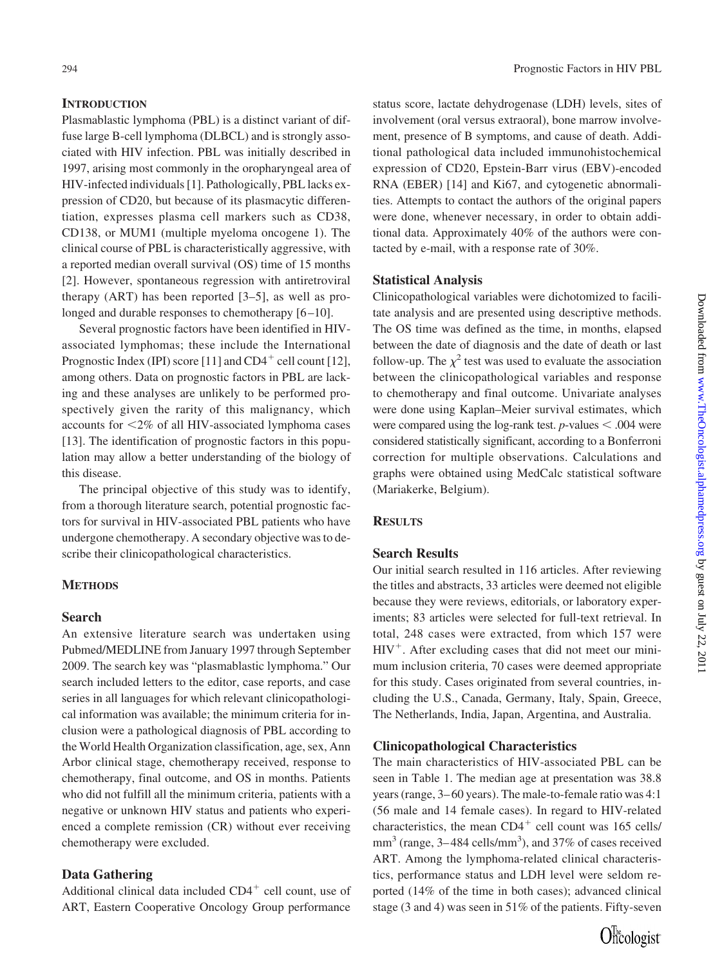#### **INTRODUCTION**

Plasmablastic lymphoma (PBL) is a distinct variant of diffuse large B-cell lymphoma (DLBCL) and is strongly associated with HIV infection. PBL was initially described in 1997, arising most commonly in the oropharyngeal area of HIV-infected individuals [1]. Pathologically, PBL lacks expression of CD20, but because of its plasmacytic differentiation, expresses plasma cell markers such as CD38, CD138, or MUM1 (multiple myeloma oncogene 1). The clinical course of PBL is characteristically aggressive, with a reported median overall survival (OS) time of 15 months [2]. However, spontaneous regression with antiretroviral therapy (ART) has been reported [3–5], as well as prolonged and durable responses to chemotherapy [6–10].

Several prognostic factors have been identified in HIVassociated lymphomas; these include the International Prognostic Index (IPI) score [11] and  $CD4^+$  cell count [12], among others. Data on prognostic factors in PBL are lacking and these analyses are unlikely to be performed prospectively given the rarity of this malignancy, which accounts for -2% of all HIV-associated lymphoma cases [13]. The identification of prognostic factors in this population may allow a better understanding of the biology of this disease.

The principal objective of this study was to identify, from a thorough literature search, potential prognostic factors for survival in HIV-associated PBL patients who have undergone chemotherapy. A secondary objective was to describe their clinicopathological characteristics.

#### **METHODS**

#### **Search**

An extensive literature search was undertaken using Pubmed/MEDLINE from January 1997 through September 2009. The search key was "plasmablastic lymphoma." Our search included letters to the editor, case reports, and case series in all languages for which relevant clinicopathological information was available; the minimum criteria for inclusion were a pathological diagnosis of PBL according to the World Health Organization classification, age, sex, Ann Arbor clinical stage, chemotherapy received, response to chemotherapy, final outcome, and OS in months. Patients who did not fulfill all the minimum criteria, patients with a negative or unknown HIV status and patients who experienced a complete remission (CR) without ever receiving chemotherapy were excluded.

### **Data Gathering**

Additional clinical data included  $CD4<sup>+</sup>$  cell count, use of ART, Eastern Cooperative Oncology Group performance

status score, lactate dehydrogenase (LDH) levels, sites of involvement (oral versus extraoral), bone marrow involvement, presence of B symptoms, and cause of death. Additional pathological data included immunohistochemical expression of CD20, Epstein-Barr virus (EBV)-encoded RNA (EBER) [14] and Ki67, and cytogenetic abnormalities. Attempts to contact the authors of the original papers were done, whenever necessary, in order to obtain additional data. Approximately 40% of the authors were contacted by e-mail, with a response rate of 30%.

#### **Statistical Analysis**

Clinicopathological variables were dichotomized to facilitate analysis and are presented using descriptive methods. The OS time was defined as the time, in months, elapsed between the date of diagnosis and the date of death or last follow-up. The  $\chi^2$  test was used to evaluate the association between the clinicopathological variables and response to chemotherapy and final outcome. Univariate analyses were done using Kaplan–Meier survival estimates, which were compared using the log-rank test.  $p$ -values  $\leq$  .004 were considered statistically significant, according to a Bonferroni correction for multiple observations. Calculations and graphs were obtained using MedCalc statistical software (Mariakerke, Belgium).

#### **RESULTS**

#### **Search Results**

Our initial search resulted in 116 articles. After reviewing the titles and abstracts, 33 articles were deemed not eligible because they were reviews, editorials, or laboratory experiments; 83 articles were selected for full-text retrieval. In total, 248 cases were extracted, from which 157 were  $HIV^+$ . After excluding cases that did not meet our minimum inclusion criteria, 70 cases were deemed appropriate for this study. Cases originated from several countries, including the U.S., Canada, Germany, Italy, Spain, Greece, The Netherlands, India, Japan, Argentina, and Australia.

#### **Clinicopathological Characteristics**

The main characteristics of HIV-associated PBL can be seen in Table 1. The median age at presentation was 38.8 years (range, 3– 60 years). The male-to-female ratio was 4:1 (56 male and 14 female cases). In regard to HIV-related characteristics, the mean  $CD4^+$  cell count was 165 cells/  $mm<sup>3</sup>$  (range, 3–484 cells/mm<sup>3</sup>), and 37% of cases received ART. Among the lymphoma-related clinical characteristics, performance status and LDH level were seldom reported (14% of the time in both cases); advanced clinical stage (3 and 4) was seen in 51% of the patients. Fifty-seven

 $\widehat{\text{On}}^{\text{The}}$ ologist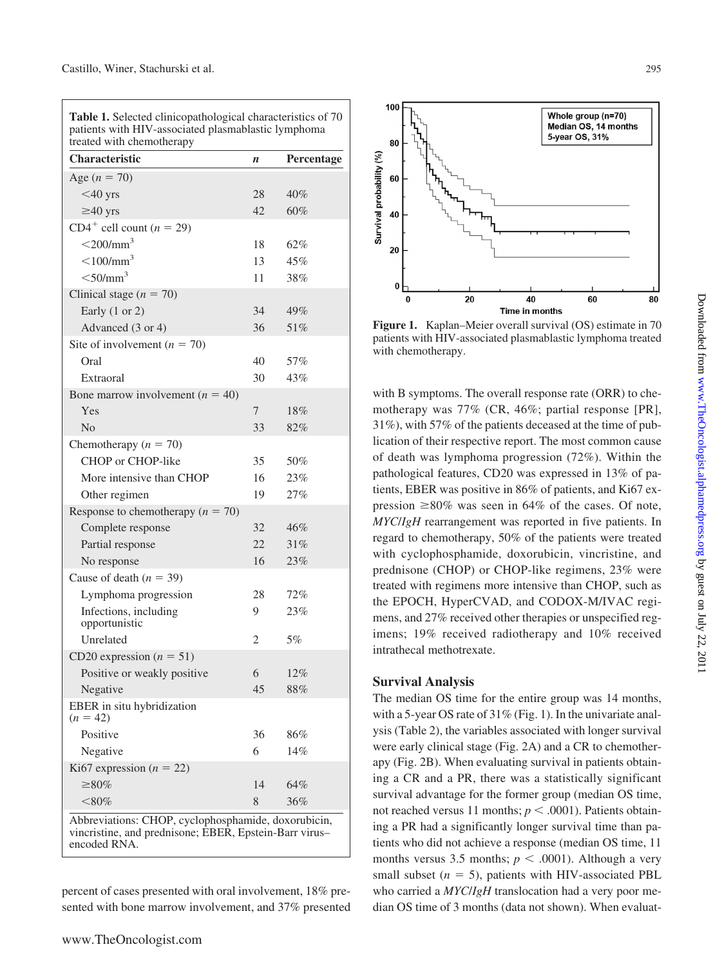| <b>Characteristic</b>                    | n  | Percentage |
|------------------------------------------|----|------------|
| Age $(n = 70)$                           |    |            |
| $<$ 40 yrs                               | 28 | 40%        |
| $\geq 40$ yrs                            | 42 | 60%        |
| $CD4^+$ cell count ( $n = 29$ )          |    |            |
| $<$ 200/mm <sup>3</sup>                  | 18 | 62%        |
| $<$ 100/mm <sup>3</sup>                  | 13 | 45%        |
| $<$ 50/mm <sup>3</sup>                   | 11 | 38%        |
| Clinical stage ( $n = 70$ )              |    |            |
| Early $(1 \text{ or } 2)$                | 34 | 49%        |
| Advanced (3 or 4)                        | 36 | 51%        |
| Site of involvement ( $n = 70$ )         |    |            |
| Oral                                     | 40 | 57%        |
| Extraoral                                | 30 | 43%        |
| Bone marrow involvement ( $n = 40$ )     |    |            |
| Yes                                      | 7  | 18%        |
| N <sub>0</sub>                           | 33 | 82%        |
| Chemotherapy ( $n = 70$ )                |    |            |
| CHOP or CHOP-like                        | 35 | 50%        |
| More intensive than CHOP                 | 16 | 23%        |
| Other regimen                            | 19 | 27%        |
| Response to chemotherapy ( $n = 70$ )    |    |            |
| Complete response                        | 32 | 46%        |
| Partial response                         | 22 | 31%        |
| No response                              | 16 | 23%        |
| Cause of death ( $n = 39$ )              |    |            |
| Lymphoma progression                     | 28 | 72%        |
| Infections, including                    | 9  | 23%        |
| opportunistic                            |    |            |
| Unrelated                                | 2  | 5%         |
| CD20 expression $(n = 51)$               |    |            |
| Positive or weakly positive              | 6  | 12%        |
| Negative                                 | 45 | $88\%$     |
| EBER in situ hybridization<br>$(n = 42)$ |    |            |
| Positive                                 | 36 | 86%        |
| Negative                                 | 6  | 14%        |
| Ki67 expression ( $n = 22$ )             |    |            |
| $\geq 80\%$                              | 14 | 64%        |
| $<$ 80%                                  | 8  | 36%        |

**Table 1.** Selected clinicopathological characteristics of 70

percent of cases presented with oral involvement, 18% presented with bone marrow involvement, and 37% presented

encoded RNA.



**Figure 1.** Kaplan–Meier overall survival (OS) estimate in 70 patients with HIV-associated plasmablastic lymphoma treated with chemotherapy.

with B symptoms. The overall response rate (ORR) to chemotherapy was 77% (CR, 46%; partial response [PR], 31%), with 57% of the patients deceased at the time of publication of their respective report. The most common cause of death was lymphoma progression (72%). Within the pathological features, CD20 was expressed in 13% of patients, EBER was positive in 86% of patients, and Ki67 expression  $\geq 80\%$  was seen in 64% of the cases. Of note, *MYC*/*IgH* rearrangement was reported in five patients. In regard to chemotherapy, 50% of the patients were treated with cyclophosphamide, doxorubicin, vincristine, and prednisone (CHOP) or CHOP-like regimens, 23% were treated with regimens more intensive than CHOP, such as the EPOCH, HyperCVAD, and CODOX-M/IVAC regimens, and 27% received other therapies or unspecified regimens; 19% received radiotherapy and 10% received intrathecal methotrexate.

#### **Survival Analysis**

The median OS time for the entire group was 14 months, with a 5-year OS rate of 31% (Fig. 1). In the univariate analysis (Table 2), the variables associated with longer survival were early clinical stage (Fig. 2A) and a CR to chemotherapy (Fig. 2B). When evaluating survival in patients obtaining a CR and a PR, there was a statistically significant survival advantage for the former group (median OS time, not reached versus 11 months;  $p < .0001$ ). Patients obtaining a PR had a significantly longer survival time than patients who did not achieve a response (median OS time, 11 months versus 3.5 months;  $p < .0001$ ). Although a very small subset  $(n = 5)$ , patients with HIV-associated PBL who carried a *MYC*/*IgH* translocation had a very poor median OS time of 3 months (data not shown). When evaluat-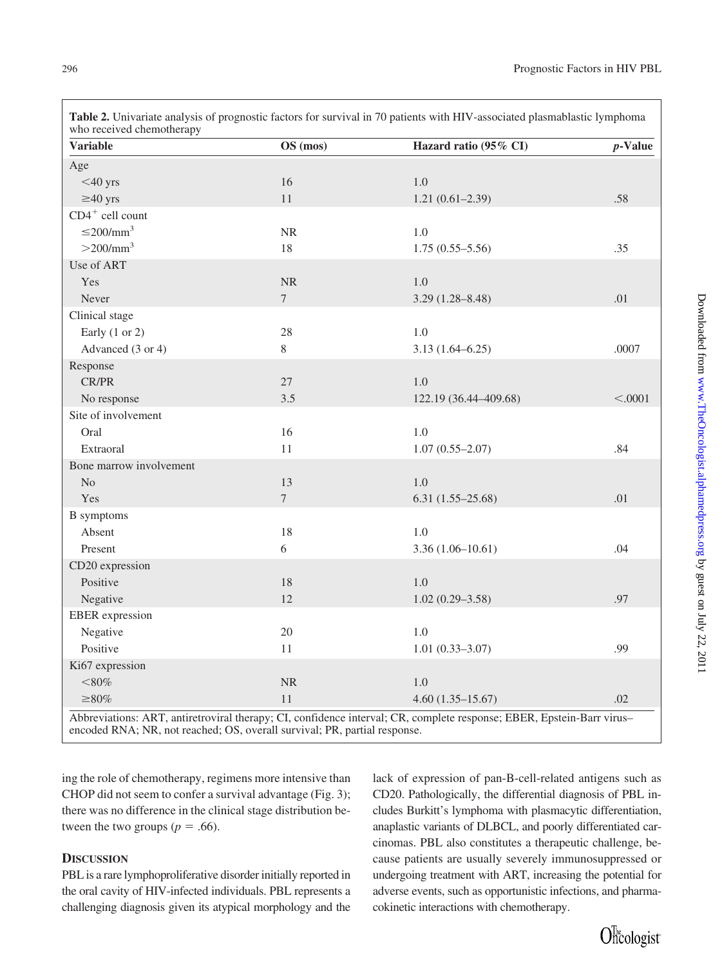| <b>Variable</b>            | OS (mos)       | Hazard ratio (95% CI) | $p$ -Value |
|----------------------------|----------------|-----------------------|------------|
| Age                        |                |                       |            |
| $<$ 40 yrs                 | 16             | 1.0                   |            |
| $\geq 40$ yrs              | 11             | $1.21(0.61 - 2.39)$   | .58        |
| $CD4^+$ cell count         |                |                       |            |
| $\leq$ 200/mm <sup>3</sup> | $\rm NR$       | 1.0                   |            |
| $>200/\text{mm}^3$         | 18             | $1.75(0.55 - 5.56)$   | .35        |
| Use of ART                 |                |                       |            |
| Yes                        | NR             | 1.0                   |            |
| Never                      | $\overline{7}$ | $3.29(1.28 - 8.48)$   | .01        |
| Clinical stage             |                |                       |            |
| Early $(1 or 2)$           | 28             | 1.0                   |            |
| Advanced (3 or 4)          | 8              | $3.13(1.64 - 6.25)$   | .0007      |
| Response                   |                |                       |            |
| <b>CR/PR</b>               | 27             | 1.0                   |            |
| No response                | 3.5            | 122.19 (36.44-409.68) | < .0001    |
| Site of involvement        |                |                       |            |
| Oral                       | 16             | 1.0                   |            |
| Extraoral                  | 11             | $1.07(0.55 - 2.07)$   | .84        |
| Bone marrow involvement    |                |                       |            |
| N <sub>o</sub>             | 13             | 1.0                   |            |
| Yes                        | $\overline{7}$ | $6.31(1.55-25.68)$    | .01        |
| <b>B</b> symptoms          |                |                       |            |
| Absent                     | 18             | 1.0                   |            |
| Present                    | 6              | $3.36(1.06-10.61)$    | .04        |
| CD20 expression            |                |                       |            |
| Positive                   | 18             | 1.0                   |            |
| Negative                   | 12             | $1.02(0.29 - 3.58)$   | .97        |
| <b>EBER</b> expression     |                |                       |            |
| Negative                   | 20             | 1.0                   |            |
| Positive                   | 11             | $1.01(0.33 - 3.07)$   | .99        |
| Ki67 expression            |                |                       |            |
| $<\!\!80\%$                | NR             | 1.0                   |            |
| $\geq 80\%$                | 11             | $4.60(1.35-15.67)$    | .02        |

**Table 2.** Univariate analysis of prognostic factors for survival in 70 patients with HIV-associated plasmablastic lymphoma

ing the role of chemotherapy, regimens more intensive than CHOP did not seem to confer a survival advantage (Fig. 3); there was no difference in the clinical stage distribution be-

tween the two groups ( $p = .66$ ).

# **DISCUSSION**

PBL is a rare lymphoproliferative disorder initially reported in the oral cavity of HIV-infected individuals. PBL represents a challenging diagnosis given its atypical morphology and the lack of expression of pan-B-cell-related antigens such as CD20. Pathologically, the differential diagnosis of PBL includes Burkitt's lymphoma with plasmacytic differentiation, anaplastic variants of DLBCL, and poorly differentiated carcinomas. PBL also constitutes a therapeutic challenge, because patients are usually severely immunosuppressed or undergoing treatment with ART, increasing the potential for adverse events, such as opportunistic infections, and pharmacokinetic interactions with chemotherapy.

Officologist<sup>-</sup>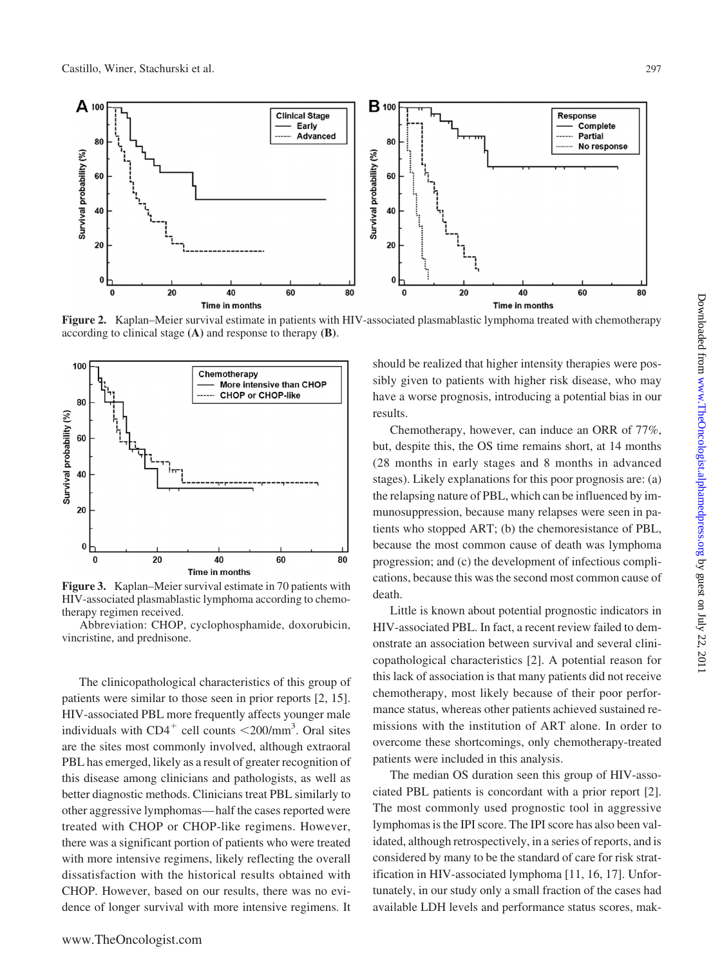

**Figure 2.** Kaplan–Meier survival estimate in patients with HIV-associated plasmablastic lymphoma treated with chemotherapy according to clinical stage **(A)** and response to therapy **(B)**.



**Figure 3.** Kaplan–Meier survival estimate in 70 patients with HIV-associated plasmablastic lymphoma according to chemotherapy regimen received.

Abbreviation: CHOP, cyclophosphamide, doxorubicin, vincristine, and prednisone.

The clinicopathological characteristics of this group of patients were similar to those seen in prior reports [2, 15]. HIV-associated PBL more frequently affects younger male individuals with  $CD4^+$  cell counts  $\langle 200/\text{mm}^3$ . Oral sites are the sites most commonly involved, although extraoral PBL has emerged, likely as a result of greater recognition of this disease among clinicians and pathologists, as well as better diagnostic methods. Clinicians treat PBL similarly to other aggressive lymphomas— half the cases reported were treated with CHOP or CHOP-like regimens. However, there was a significant portion of patients who were treated with more intensive regimens, likely reflecting the overall dissatisfaction with the historical results obtained with CHOP. However, based on our results, there was no evidence of longer survival with more intensive regimens. It

should be realized that higher intensity therapies were possibly given to patients with higher risk disease, who may have a worse prognosis, introducing a potential bias in our results.

Chemotherapy, however, can induce an ORR of 77%, but, despite this, the OS time remains short, at 14 months (28 months in early stages and 8 months in advanced stages). Likely explanations for this poor prognosis are: (a) the relapsing nature of PBL, which can be influenced by immunosuppression, because many relapses were seen in patients who stopped ART; (b) the chemoresistance of PBL, because the most common cause of death was lymphoma progression; and (c) the development of infectious complications, because this was the second most common cause of death.

Little is known about potential prognostic indicators in HIV-associated PBL. In fact, a recent review failed to demonstrate an association between survival and several clinicopathological characteristics [2]. A potential reason for this lack of association is that many patients did not receive chemotherapy, most likely because of their poor performance status, whereas other patients achieved sustained remissions with the institution of ART alone. In order to overcome these shortcomings, only chemotherapy-treated patients were included in this analysis.

The median OS duration seen this group of HIV-associated PBL patients is concordant with a prior report [2]. The most commonly used prognostic tool in aggressive lymphomas is the IPI score. The IPI score has also been validated, although retrospectively, in a series of reports, and is considered by many to be the standard of care for risk stratification in HIV-associated lymphoma [11, 16, 17]. Unfortunately, in our study only a small fraction of the cases had available LDH levels and performance status scores, mak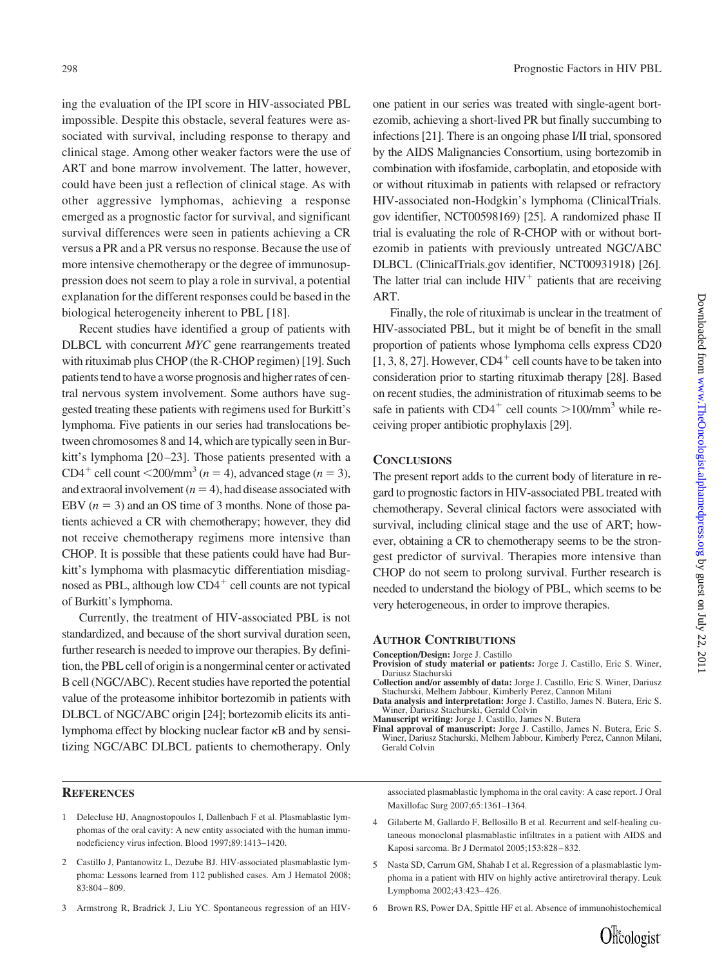ing the evaluation of the IPI score in HIV-associated PBL impossible. Despite this obstacle, several features were associated with survival, including response to therapy and clinical stage. Among other weaker factors were the use of ART and bone marrow involvement. The latter, however, could have been just a reflection of clinical stage. As with other aggressive lymphomas, achieving a response emerged as a prognostic factor for survival, and significant survival differences were seen in patients achieving a CR versus a PR and a PR versus no response. Because the use of more intensive chemotherapy or the degree of immunosuppression does not seem to play a role in survival, a potential explanation for the different responses could be based in the biological heterogeneity inherent to PBL [18].

Recent studies have identified a group of patients with DLBCL with concurrent *MYC* gene rearrangements treated with rituximab plus CHOP (the R-CHOP regimen) [19]. Such patients tend to have a worse prognosis and higher rates of central nervous system involvement. Some authors have suggested treating these patients with regimens used for Burkitt's lymphoma. Five patients in our series had translocations between chromosomes 8 and 14, which are typically seen in Burkitt's lymphoma [20–23]. Those patients presented with a CD4<sup>+</sup> cell count  $\leq$ 200/mm<sup>3</sup> (*n* = 4), advanced stage (*n* = 3), and extraoral involvement  $(n = 4)$ , had disease associated with EBV  $(n = 3)$  and an OS time of 3 months. None of those patients achieved a CR with chemotherapy; however, they did not receive chemotherapy regimens more intensive than CHOP. It is possible that these patients could have had Burkitt's lymphoma with plasmacytic differentiation misdiagnosed as PBL, although low  $CD4^+$  cell counts are not typical of Burkitt's lymphoma.

Currently, the treatment of HIV-associated PBL is not standardized, and because of the short survival duration seen, further research is needed to improve our therapies. By definition, the PBL cell of origin is a nongerminal center or activated B cell (NGC/ABC). Recent studies have reported the potential value of the proteasome inhibitor bortezomib in patients with DLBCL of NGC/ABC origin [24]; bortezomib elicits its antilymphoma effect by blocking nuclear factor  $\kappa$ B and by sensitizing NGC/ABC DLBCL patients to chemotherapy. Only

- 1 Delecluse HJ, Anagnostopoulos I, Dallenbach F et al. Plasmablastic lymphomas of the oral cavity: A new entity associated with the human immunodeficiency virus infection. Blood 1997;89:1413–1420.
- 2 Castillo J, Pantanowitz L, Dezube BJ. HIV-associated plasmablastic lymphoma: Lessons learned from 112 published cases. Am J Hematol 2008; 83:804 – 809.
- 3 Armstrong R, Bradrick J, Liu YC. Spontaneous regression of an HIV-

one patient in our series was treated with single-agent bortezomib, achieving a short-lived PR but finally succumbing to infections [21]. There is an ongoing phase I/II trial, sponsored by the AIDS Malignancies Consortium, using bortezomib in combination with ifosfamide, carboplatin, and etoposide with or without rituximab in patients with relapsed or refractory HIV-associated non-Hodgkin's lymphoma (ClinicalTrials. gov identifier, NCT00598169) [25]. A randomized phase II trial is evaluating the role of R-CHOP with or without bortezomib in patients with previously untreated NGC/ABC DLBCL (ClinicalTrials.gov identifier, NCT00931918) [26]. The latter trial can include  $HIV<sup>+</sup>$  patients that are receiving ART.

Finally, the role of rituximab is unclear in the treatment of HIV-associated PBL, but it might be of benefit in the small proportion of patients whose lymphoma cells express CD20  $[1, 3, 8, 27]$ . However, CD4<sup>+</sup> cell counts have to be taken into consideration prior to starting rituximab therapy [28]. Based on recent studies, the administration of rituximab seems to be safe in patients with  $CD4^+$  cell counts  $>100/\text{mm}^3$  while receiving proper antibiotic prophylaxis [29].

#### **CONCLUSIONS**

The present report adds to the current body of literature in regard to prognostic factors in HIV-associated PBL treated with chemotherapy. Several clinical factors were associated with survival, including clinical stage and the use of ART; however, obtaining a CR to chemotherapy seems to be the strongest predictor of survival. Therapies more intensive than CHOP do not seem to prolong survival. Further research is needed to understand the biology of PBL, which seems to be very heterogeneous, in order to improve therapies.

#### **AUTHOR CONTRIBUTIONS**

**Conception/Design:** Jorge J. Castillo

- **Provision of study material or patients:** Jorge J. Castillo, Eric S. Winer, Dariusz Stachurski
- **Collection and/or assembly of data:** Jorge J. Castillo, Eric S. Winer, Dariusz Stachurski, Melhem Jabbour, Kimberly Perez, Cannon Milani **Data analysis and interpretation:** Jorge J. Castillo, James N. Butera, Eric S.
- Winer, Dariusz Stachurski, Gerald Colvin **Manuscript writing:** Jorge J. Castillo, James N. Butera

Downloaded from www.TheOncologist.alphamedpress.org by guest on July 22, 201  $Down$  con Www.TheOncologist.alphamedpress.org by guest on July 22, 2011

associated plasmablastic lymphoma in the oral cavity: A case report. J Oral Maxillofac Surg 2007;65:1361–1364.

- 4 Gilaberte M, Gallardo F, Bellosillo B et al. Recurrent and self-healing cutaneous monoclonal plasmablastic infiltrates in a patient with AIDS and Kaposi sarcoma. Br J Dermatol 2005;153:828 – 832.
- 5 Nasta SD, Carrum GM, Shahab I et al. Regression of a plasmablastic lymphoma in a patient with HIV on highly active antiretroviral therapy. Leuk Lymphoma 2002;43:423– 426.
- 6 Brown RS, Power DA, Spittle HF et al. Absence of immunohistochemical

**Final approval of manuscript:** Jorge J. Castillo, James N. Butera, Eric S. Winer, Dariusz Stachurski, Melhem Jabbour, Kimberly Perez, Cannon Milani, Gerald Colvin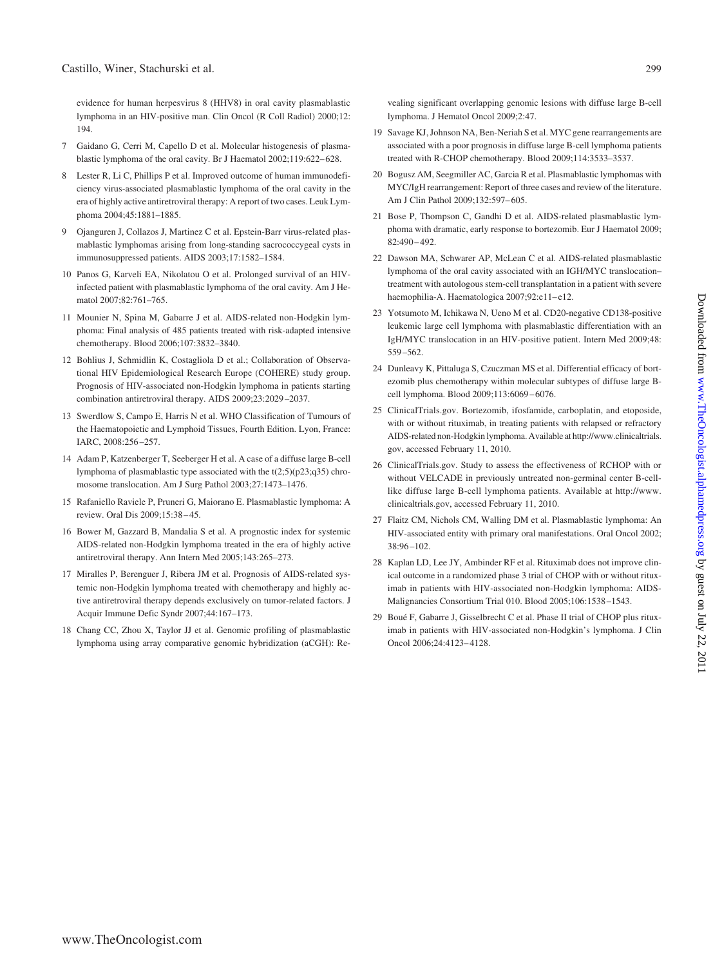evidence for human herpesvirus 8 (HHV8) in oral cavity plasmablastic lymphoma in an HIV-positive man. Clin Oncol (R Coll Radiol) 2000;12: 194.

- 7 Gaidano G, Cerri M, Capello D et al. Molecular histogenesis of plasmablastic lymphoma of the oral cavity. Br J Haematol 2002;119:622-628.
- 8 Lester R, Li C, Phillips P et al. Improved outcome of human immunodeficiency virus-associated plasmablastic lymphoma of the oral cavity in the era of highly active antiretroviral therapy: A report of two cases. Leuk Lymphoma 2004;45:1881–1885.
- 9 Ojanguren J, Collazos J, Martinez C et al. Epstein-Barr virus-related plasmablastic lymphomas arising from long-standing sacrococcygeal cysts in immunosuppressed patients. AIDS 2003;17:1582–1584.
- 10 Panos G, Karveli EA, Nikolatou O et al. Prolonged survival of an HIVinfected patient with plasmablastic lymphoma of the oral cavity. Am J Hematol 2007;82:761–765.
- 11 Mounier N, Spina M, Gabarre J et al. AIDS-related non-Hodgkin lymphoma: Final analysis of 485 patients treated with risk-adapted intensive chemotherapy. Blood 2006;107:3832–3840.
- 12 Bohlius J, Schmidlin K, Costagliola D et al.; Collaboration of Observational HIV Epidemiological Research Europe (COHERE) study group. Prognosis of HIV-associated non-Hodgkin lymphoma in patients starting combination antiretroviral therapy. AIDS 2009;23:2029 –2037.
- 13 Swerdlow S, Campo E, Harris N et al. WHO Classification of Tumours of the Haematopoietic and Lymphoid Tissues, Fourth Edition. Lyon, France: IARC, 2008:256 –257.
- 14 Adam P, Katzenberger T, Seeberger H et al. A case of a diffuse large B-cell lymphoma of plasmablastic type associated with the t(2;5)(p23;q35) chromosome translocation. Am J Surg Pathol 2003;27:1473–1476.
- 15 Rafaniello Raviele P, Pruneri G, Maiorano E. Plasmablastic lymphoma: A review. Oral Dis 2009;15:38 – 45.
- 16 Bower M, Gazzard B, Mandalia S et al. A prognostic index for systemic AIDS-related non-Hodgkin lymphoma treated in the era of highly active antiretroviral therapy. Ann Intern Med 2005;143:265–273.
- 17 Miralles P, Berenguer J, Ribera JM et al. Prognosis of AIDS-related systemic non-Hodgkin lymphoma treated with chemotherapy and highly active antiretroviral therapy depends exclusively on tumor-related factors. J Acquir Immune Defic Syndr 2007;44:167–173.
- 18 Chang CC, Zhou X, Taylor JJ et al. Genomic profiling of plasmablastic lymphoma using array comparative genomic hybridization (aCGH): Re-

vealing significant overlapping genomic lesions with diffuse large B-cell lymphoma. J Hematol Oncol 2009;2:47.

- 19 Savage KJ, Johnson NA, Ben-Neriah S et al. MYC gene rearrangements are associated with a poor prognosis in diffuse large B-cell lymphoma patients treated with R-CHOP chemotherapy. Blood 2009;114:3533–3537.
- 20 Bogusz AM, Seegmiller AC, Garcia R et al. Plasmablastic lymphomas with MYC/IgH rearrangement: Report of three cases and review of the literature. Am J Clin Pathol 2009;132:597– 605.
- 21 Bose P, Thompson C, Gandhi D et al. AIDS-related plasmablastic lymphoma with dramatic, early response to bortezomib. Eur J Haematol 2009; 82:490 – 492.
- 22 Dawson MA, Schwarer AP, McLean C et al. AIDS-related plasmablastic lymphoma of the oral cavity associated with an IGH/MYC translocation– treatment with autologous stem-cell transplantation in a patient with severe haemophilia-A. Haematologica 2007;92:e11-e12.
- 23 Yotsumoto M, Ichikawa N, Ueno M et al. CD20-negative CD138-positive leukemic large cell lymphoma with plasmablastic differentiation with an IgH/MYC translocation in an HIV-positive patient. Intern Med 2009;48: 559 –562.
- 24 Dunleavy K, Pittaluga S, Czuczman MS et al. Differential efficacy of bortezomib plus chemotherapy within molecular subtypes of diffuse large Bcell lymphoma. Blood 2009;113:6069 – 6076.
- 25 ClinicalTrials.gov. Bortezomib, ifosfamide, carboplatin, and etoposide, with or without rituximab, in treating patients with relapsed or refractory AIDS-related non-Hodgkinlymphoma. Available at http://www.clinicaltrials. gov, accessed February 11, 2010.
- 26 ClinicalTrials.gov. Study to assess the effectiveness of RCHOP with or without VELCADE in previously untreated non-germinal center B-celllike diffuse large B-cell lymphoma patients. Available at http://www. clinicaltrials.gov, accessed February 11, 2010.
- 27 Flaitz CM, Nichols CM, Walling DM et al. Plasmablastic lymphoma: An HIV-associated entity with primary oral manifestations. Oral Oncol 2002; 38:96 –102.
- 28 Kaplan LD, Lee JY, Ambinder RF et al. Rituximab does not improve clinical outcome in a randomized phase 3 trial of CHOP with or without rituximab in patients with HIV-associated non-Hodgkin lymphoma: AIDS-Malignancies Consortium Trial 010. Blood 2005;106:1538 –1543.
- 29 Boué F, Gabarre J, Gisselbrecht C et al. Phase II trial of CHOP plus rituximab in patients with HIV-associated non-Hodgkin's lymphoma. J Clin Oncol 2006;24:4123– 4128.